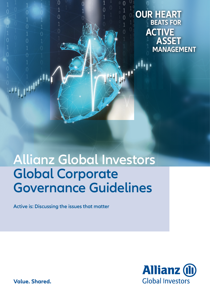**OUR HEART BEATS FOR ACTIVE ASSET MANAGEMENT**

 $\bigcap$ 

1  $\overline{0}$ 

 $\overline{0}$ 

## **Allianz Global Investors Global Corporate Governance Guidelines**

**Active is: Discussing the issues that matter**

 $\overline{0}$ 

 $\overline{0}$ 

 $\overline{0}$ 

 $\overline{0}$ 



**Value. Shared.**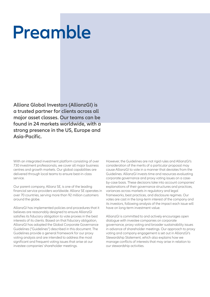# **Preamble**

**Allianz Global Investors (AllianzGI) is a trusted partner for clients across all major asset classes. Our teams can be found in 24 markets worldwide, with a strong presence in the US, Europe and Asia-Pacific.** 

With an integrated investment platform consisting of over 730 investment professionals, we cover all major business centres and growth markets. Our global capabilities are delivered through local teams to ensure best-in-class service.

Our parent company, Allianz SE, is one of the leading financial service providers worldwide. Allianz SE operates in over 70 countries, serving more than 92 million customers around the globe.

AllianzGI has implemented policies and procedures that it believes are reasonably designed to ensure AllianzGI satisfies its fiduciary obligation to vote proxies in the best interests of its clients. Based on that fiduciary obligation, AllianzGI has adopted the Global Corporate Governance Guidelines ("Guidelines") described in this document. The Guidelines provide a general framework for our proxy voting analysis and are intended to address the most significant and frequent voting issues that arise at our investee companies' shareholder meetings.

However, the Guidelines are not rigid rules and AllianzGI's consideration of the merits of a particular proposal may cause AllianzGI to vote in a manner that deviates from the Guidelines. AllianzGI invests time and resources evaluating corporate governance and proxy voting issues on a caseby-case basis. These decisions take into account companies' explanations of their governance structures and practices, variances across markets in regulatory and legal frameworks, best practices, and disclosure regimes. Our votes are cast in the long-term interest of the company and its investors, following analysis of the impact each issue will have on long-term investment value.

AllianzGI is committed to and actively encourages open dialogue with investee companies on corporate governance, proxy voting and broader sustainability issues in advance of shareholder meetings. Our approach to proxy voting and company engagement is set out in AllianzGI's Stewardship Statement, which also explains how we manage conflicts of interests that may arise in relation to our stewardship activities.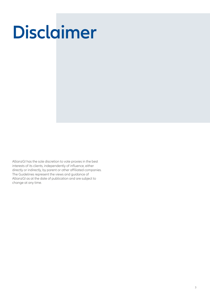# **Disclaimer**

AllianzGI has the sole discretion to vote proxies in the best interests of its clients, independently of influence, either directly or indirectly, by parent or other affiliated companies. The Guidelines represent the views and guidance of AllianzGI as at the date of publication and are subject to change at any time.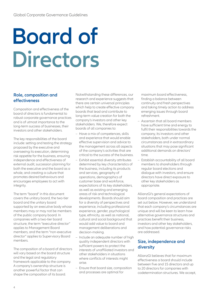# **Board of Directors**

### **Role, composition and effectiveness**

Composition and effectiveness of the board of directors is fundamental to robust corporate governance practices and is of utmost importance to the long-term success of businesses, their investors and other stakeholders.

The key responsibilities of the board include: setting and testing the strategy proposed by the executive and overseeing its execution, determining risk appetite for the business, ensuring independence and effectiveness of external audit, succession planning for both the executive and the board as a whole, and creating a culture that promotes desired behaviours and encourages employees to act with integrity.

The term "board" in this document covers the unitary board, the two-tier board and the unitary board supported by an executive body whose members may or may not be members of the public company board. In companies with a two-tier board structure, the term "executive director" applies to Management Board members, and the term "non-executive director" applies to Supervisory Board members.

The composition of a board of directors will vary based on the board structure and the legal and regulatory framework applicable to the company. A company's ownership structure is another powerful factor that can shape the composition of its board.

Notwithstanding these differences, our research and experience suggests that there are certain universal principles which help to create effective company boards that lead and contribute to long-term value creation for both the company's investors and other key stakeholders. We, therefore expect boards of all companies to:

- Have a mix of competences, skills and experience that would enable effective supervision and advice to the management across all aspects of the company's activities that are critical to the success of the business.
- Exhibit essential diversity attributes determined by key characteristics of the business, including its products and services, geography of operations, demographics of customer base and workforce, expectations of its key stakeholders, as well as existing and emerging areas of risk and technological developments. Boards should aim for a diversity of perspectives and experience, including professional experience, gender, psychological type, ethnicity, as well as national, cultural and social background that would add value to board and management deliberations and decision-making.
- Include an adequate number of high quality independent directors with sufficient powers to protect the interests of unaffiliated investors and other stakeholders in situations where conflicts of interests might arise.
- Ensure that board size, composition and processes are optimal for

maximum board effectiveness, finding a balance between continuity and fresh perspectives and taking timely action to address emerging issues through board refreshment.

- Ascertain that all board members have sufficient time and energy to fulfil their responsibilities towards the company, its investors and other stakeholders, both under normal circumstances and in extraordinary situations that may pose significant additional demands on directors' time.
- Establish accountability of all board members to shareholders through regular board elections and dialogue with investors, and ensure directors have direct exposure to other key stakeholders as appropriate.

AllianzGI's general expectations of board composition and practices are set out below. However, we understand that each company's circumstances are unique and will be keen to learn how alternative governance structures and practices benefit their business, investors and other key stakeholders, and how potential governance risks are addressed.

#### **Size, independence and diversity**

AllianzGI believes that for maximum effectiveness a board should include between five and 15 directors and up to 20 directors for companies with codetermination structures. We accept,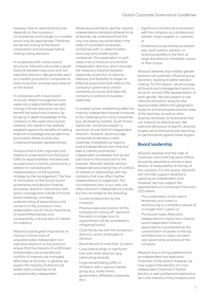however, that an optimal board size depends on the company's circumstances and a larger or a smaller board may be appropriate. Therefore, we will be looking at the board composition and processes before making voting decisions.

In companies with unitary board structures, AllianzGI advocates a good balance between executive and nonexecutive directors. We generally see it as a healthy practice for companies to have more than one executive director on the board.

In companies with a dual board structure, where management and supervisory responsibilities are split, having a former executive can also benefit the board and investors by bringing in-depth knowledge of the company to the supervisory board; however, this needs to be carefully weighed against the benefits of adding external knowledge and perspectives, particularly where boards also comprise employee representatives.

Investors find it both important and helpful to understand how the board fulfils its responsibilities and exercises its supervisory functions, particularly in relation to overseeing the implementation of the business strategy by the management. The flow of information to the board, board governance and decision making processes, directors' interactions with senior management outside of formal board meetings, and deep understanding of expectations and concerns of the company's main stakeholders are of critical importance to board effectiveness and, consequently, a strong area of interest for investors.

AllianzGI places great importance on having a critical mass of unquestionably independent nonexecutive directors on the board to ensure that the interests of unaffiliated shareholders are protected and conflicts of interests are managed effectively at all times. In general, we expect the majority of directors at widely held companies to be unquestionably independent.

While we would like to see the majority independence standard adhered to by all boards, we understand that this may not always be achievable in the cases of controlled companies, companies with co-determination structures and smaller public companies. Our expectation in such cases is for a minimum of one-third independent directors, which provides the necessary balance between objectivity, protection of minority interests and flexibility to shape an effective board that both reflects the company's governance and/or ownership structure and helps the company to achieve its business objectives.

In markets where establishing effective majority independent boards continues to be challenging for many companies (e.g. developing markets, South Korea, Japan) we would also expect a minimum of one-third of independent directors. However, we encourage companies to develop a clear roadmap in establishing majority board independence over time and seek to identify and attract independent candidates that would add value to the board and to the business. AllianzGI defines director independence as being free of conflicts of interest or relationships with the company that may affect his/her independence of judgement. The circumstances that, in our view, can affect directors' independence include, but are not limited to the following:

- Current employment by the company;
- Previous executive position at the company (a"cooling off" period of five years or longer prior to appointment will be considered a mitigating factor);
- Close family ties with the company's directors, senior employees or advisors;
- Board tenure of more than 12 years;
- Cross-directorships or significant links with other directors (e.g. interlocking boards);
- – Large shareholding (≥5%) or affiliation with a special interest group (e.g. trade unions, government, affiliated companies, etc.);
- Significant commercial involvement with the company as a professional adviser, major supplier or customer; or
- Entitlement to performance-related pay, stock options, pension, or receiving benefits in the form of large donations to charitable causes of their choice.

AllianzGI believes that healthy gender balance can positively influence group dynamics, leading to better decisionmaking. For this reason, we encourage all boards and management teams to strive for at least 30% representation of each gender. We also expect to see national and ethnic diversity that appropriately reflects the geographic footprint and employee/customer base of the business, as well as other diversity attributes at board level that can improve its effectiveness. We welcome disclosure of specific diversity targets set by the board and reporting on performance against these targets.

#### **Board leadership**

AllianzGI believes that the roles of Chairman and Chief Executive Officer should be separate to ensure a clear division of responsibility at the top of the company. For this reason, AllianzGI will normally support resolutions requiring an independent chair. However, we may support the appointment of a combined Chairman/ CEO where:

- The combination of the roles is temporary and covers a restructuring or a transition period of no longer than 3 years; or
- The board meets AllianzGI's independence criteria, has a Senior/ Lead Independent Director appointed to counterbalance the concentration of power at the top, and there are no major concerns over governance practices at the company.

AllianzGI has a strong preference for an independent non-executive Chairman of the board. However, we may support the election of a nonindependent Chairman if his/her election is well justified and deemed to be in the interests of the company and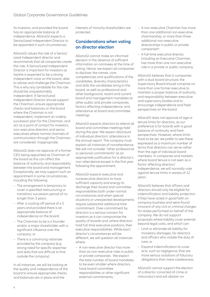its investors, and provided the board has an appropriate balance of independence. AllianzGI expects a Senior/Lead Independent Director to be appointed in such circumstances.

AllianzGI values the role of a Senior/ Lead Independent director and recommends that all companies create this role. A Senior/Lead Independent Director is important for investors as he/she is expected to be a strong independent voice on the board, able to advise and challenge the Chairman. This is why any candidate for this role should be unquestionably independent. A Senior/Lead Independent Director should support the Chairman, ensure appropriate checks and balances on the board where the Chairman is not independent, implement an orderly succession plan for the Chairman, and act as a point of contact for investors, non-executive directors and senior executives where normal channels of communication through the Chairman are considered inappropriate.

AllianzGI does not approve of a former CEO being appointed as Chairman of the board as this can affect the balance of authority and responsibility between the board and management. Exceptionally, we may support such an appointment in some circumstances, including the following:

- The arrangement is temporary to cover a specified restructuring or transition/ succession period of no longer than 3 years;
- – After a cooling-off period of ≥ 5 years and provided there is an appropriate balance of independence on the board;
- The Chairman to be is a founder and/or a major shareholder with a significant influence over the company; or
- There is a convincing rationale provided by the company (e.g. strong need for specific expertise and skills that are difficult to find outside the company).

In all instances, we will be looking at the quality and independence of the board to ensure appropriate checks and balances are in place and the

interests of minority shareholders are protected.

#### **Considerations when voting on director election**

AllianzGI cannot make an informed decision in the absence of sufficient information on nominees at the time of voting. Hence, we expect all companies to disclose: the names, core competencies and qualifications of the candidates, diversity characteristics and skills the candidates bring to the board, as well as professional and other background, recent and current board and management mandates at other public and private companies, factors affecting independence, and attendance at board and committee meetings.

AllianzGI expects directors to attend all board and committee meetings held during the year. We expect disclosure of individual directors' attendance in the annual report. The company must explain all instances of nonattendance. We will not consider "other professional or personal commitments" as an appropriate justification for a director's non-attendance except in the first year following the appointment.

AllianzGI expects executive and nonexecutive directors to have sufficient capacity and energy to discharge their board and committee responsibilities both under normal circumstances and when special situations or unexpected developments require substantial additional time commitment. Over-commitment by directors is a serious concern for investors as it can compromise the quality of boards and, where directors hold full-time executive positions, their executive responsibilities. While each director's circumstances will be different, we will question all instances where:

– A non-executive director has more than six non-executive roles in public or private companies . We expect the total number of board mandates to be even smaller where directors have board committee responsibilities or other significant external commitments;

- A non-executive Chairman has more than one additional non-executive chairmanship, or more than three additional non-executive directorships in public or private companies\*;
- A full-time executive director, including an Executive Chairman, has more than one non-executive role in a private or public company.

AllianzGI believes that in companies with a dual board structure, the Supervisory Board should comprise no more than one former executive to maintain a proper balance of authority and responsibility between executive and supervisory bodies and to encourage independence and fresh perspectives on the board.

AllianzGI does not approve of age or tenure limits for directors, as our preference is for boards with a good balance of continuity and fresh perspectives. However, where limits have to be set, we prefer to see these expressed as a maximum number of terms that directors can serve rather than the age of individual board members. In companies and markets where board tenure is not seen as a factor affecting directors' independence, we will normally vote against tenure limits in excess of 12 years.

AllianzGI believes that officers and directors should only be eligible for indemnification and liability protection if they have acted in good faith on company business and were found innocent of any civil or criminal charges for duties performed on behalf of the company. We do not support proposals where liability cover extends beyond legal costs, and which can:

- Limit or eliminate all liability for monetary damages, for directors and officers who violate the duty of care; or
- Expand indemnification to cover acts, such as negligence, that are more serious violations of fiduciary obligations than mere carelessness.

AllianzGI cannot support the election of a director convicted of crime or misconduct and will abstain on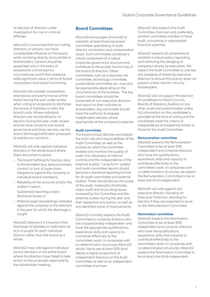re-election of directors under investigation for civil or criminal offenses.

AllianzGI is concerned that non-voting directors, or censors, can have considerable influence on the board while not being directly accountable to shareholders. Censors should be appointed only in the event of exceptional and temporary circumstances and if their presence adds significant value in terms of board composition and board functioning.

AllianzGI will consider composition, attendance and performance of the board during the year under review when voting on proposals to discharge the board of liabilities or ratify the board's acts. Where individual directors are not standing for reelection during the year under review, and we have concerns over board governance practices, we may use the board discharge/ratification proposals to express our concerns.

AllianzGI will vote against individual directors or the whole board where there are concerns about:

- The board fulfilling its fiduciary duty to shareholders (e.g. serious business conduct or lack of supervision allegations against the company or individual board members);
- Reliability of the accounts and/or the auditor's report;
- Substantial reporting and/or disclosure issues; or
- Material legal proceedings instituted against the company or the directors in the year for which the discharge is sought.

AllianzGI believes it is important that discharge of liabilities or ratification of acts is sought for each individual director rather than the board as a whole.

AllianzGI may vote against individual board members or the entire board where the directors have failed to take action on the proposals approved by the shareholder meeting.

#### **Board Committees**

AllianzGI encourages all boards to establish at least three key board committees specialising in audit, director nomination and compensation issues. Such committees constitute a critical component of a robust corporate governance structure and contribute to the proper functioning of the board of directors. Other committees, such as a separate risk committee, technology committee, sustainability committee, etc. may also be appropriate depending on the circumstances of the business. The key board committees should be comprised of non-executive directors and report on their activities to shareholders. Any committee should have the authority to engage independent advisers where appropriate at the company's expense.

#### **Audit committee**

The board should disclose and explain the main role and responsibilities of the Audit Committee, as well as the process by which the committee reviews and monitors the quality of audit, the robustness of internal controls and the independence of the external auditor. "Long-form" auditor and audit committee reports should become a standard reporting format for all audit committees and external auditor. These should discuss the scope of the audit, materiality thresholds, major audit and accounting issues reviewed by the Committee and the external auditor during the year and their respective conclusions, as well as any identified areas of improvements.

AllianzGI normally expects the Audit Committee to comprise directors who are unquestionably independent and have the appropriate qualifications, experience, skills and capacity to contribute effectively to the committee's work. In companies with co-determination structures, AllianzGI would like to see at least 50% (and ideally a higher proportion) of independent directors on the Audit Committee as well as an independent committee chairman.

AllianzGI also expects the Audit Committee chairman and, preferably, another committee member to have audit, accounting or appropriate financial expertise.

AllianzGI expects all companies to establish a robust policy regulating and restricting the pledging of company's shares by executives. We expect the Audit Committee to oversee any pledging of shares by executive directors to ensure this activity does not present undue risks for minority shareholders.

AllianzGI will not support the election of candidates to Fiscal Councils, Boards of Statutory Auditors or any other audit and control bodies unless full information on the candidates is provided at the time of voting and the candidates meet the criteria of independence and expertise similar to those for the Audit Committee.

#### **Remuneration committee**

AllianzGI expects the Remuneration Committee to be at least 50% independent and comprise directors who have the qualifications, experience, skills and capacity to contribute effectively to the committee's work. In companies with co-determination structures, we expect the Remuneration Committee to be at least one-third independent.

AllianzGI will vote against any executive director, including an Executive Chairman, standing for election if they are expected to serve on the Remuneration Committee.

#### **Nomination committee**

AllianzGI expects the Nomination Committee to be at least 50% independent and comprise directors who have the qualifications experience, skills and capacity to contribute effectively to the committee's work. In companies with co-determination structures, AllianzGI expects the Nomination Committee to be at least one-third independent.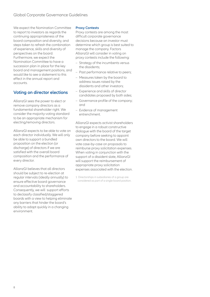We expect the Nomination Committee to report to investors as regards the continuing appropriateness of the board composition and diversity, and steps taken to refresh the combination of experience, skills and diversity of perspectives on the board. Furthermore, we expect the Nomination Committee to have a succession plan in place for the key board and management positions, and would like to see a statement to this effect in the annual report and accounts.

### **Voting on director elections**

AllianzGI sees the power to elect or remove company directors as a fundamental shareholder right. We consider the majority-voting standard to be an appropriate mechanism for electing/removing directors.

AllianzGI expects to be able to vote on each director individually. We will only be able to support a bundled proposition on the election (or discharge) of directors if we are satisfied with the overall board composition and the performance of every director.

AllianzGI believes that all directors should be subject to re-election at regular intervals (ideally annually) to ensure effective board governance and accountability to shareholders. Consequently, we will support efforts to declassify classified/staggered boards with a view to helping eliminate any barriers that hinder the board's ability to adapt quickly in a changing environment.

#### **Proxy Contests**

Proxy contests are among the most difficult corporate governance decisions because an investor must determine which group is best suited to manage the company. Factors AllianzGI will consider in voting on proxy contests include the following:

- Strategy of the incumbents versus the dissidents;
- Past performance relative to peers;
- Measures taken by the board to address issues raised by the dissidents and other investors;
- Experience and skills of director candidates proposed by both sides;
- Governance profile of the company; and
- Evidence of management entrenchment.

AllianzGI expects activist shareholders to engage in a robust constructive dialogue with the board of the target company before seeking to appoint own directors to the board. We will vote case-by-case on proposals to reimburse proxy solicitation expenses. When voting in conjunction with the support of a dissident slate, AllianzGI will support the reimbursement of appropriate proxy solicitation expenses associated with the election.

1 Directorships in subsidiaries of a group are considered as part of a single board position.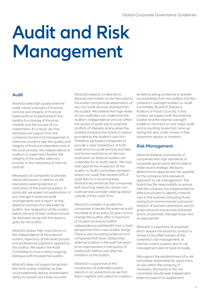# **Audit and Risk Management**

### **Audit**

AllianzGI sees high quality external audit, robust oversight of financial controls and integrity of financial statements as fundamental to the healthy functioning of financial markets and the success of our investments. As a result, we may withdraw our support from the company's board and management if there are concerns over the quality and integrity of financial statements and of the audit process, the independence of auditors or supervisory bodies, the integrity of the auditor selection process, or the robustness of internal controls.

We expect all companies to provide robust disclosures in relation to the resolutions seeking election or ratification of the external auditor. In particular, we expect an explanation of any changes in external audit arrangements and a report on the selection process of a new external auditor. Any resignation of the auditor before the end of their contract should be disclosed along with the reasons given by the auditor.

AllianzGI places high importance on the independence of the external auditor, objectivity of the audit process and professional scepticism applied by the auditor. We expect the Audit Committee to have a direct ongoing dialogue with the external auditor.

AllianzGI does not support proposals that limit auditor liabilities as they could potentially reduce shareholders' ability to recover any losses incurred.

AllianzGI expects companies to disclose information on the fees paid to the auditor and provide explanation of any non-audit services received from the auditor. We believe that high-levels of non-audit fees can undermine the auditor's independence and can affect the quality of audit due to potential conflicts of interests arising when the audited company has acted on advice provided by the auditor's own firm. Therefore we expect companies to provide a clear breakdown of both audit and non-audit services and fees, and favour restrictions on the nonaudit work an external auditor can undertake for its audit clients. We may vote against the re-election of the auditor or Audit Committee members where non-audit fees exceed 50% of audit fees on a recurring basis. AllianzGI recommends that companies with recurring needs for certain nonaudit services consider seeking advice outside of their audit firms.

AllianzGI considers it prudent for companies to tender the external audit mandate at least every 10 years and to change the auditor after a maximum of 20 years to ensure auditor independence and benefit from a fresh perspective that a new auditor brings. There is also mounting evidence from companies that have rotated their external auditors in the past five years of an improvement in the quality of audits both before and after the transition of the auditor.

AllianzGI is supportive of the introduction of extended auditor reports in all jurisdictions as we find them insightful and useful for investors,

as well as being conducive to greater accountability from the auditor and the company's oversight bodies (i.e. Audit Committee, Board of Statutory Auditors or Fiscal Councils). In this context, we expect both the external auditor and the internal oversight bodies to comment on any major audit and accounting issues that came up during the year under review in their respective reports to investors.

#### **Risk Management**

AllianzGI believes that boards of companies with high standards of corporate governance will be able to make sound strategic decisions, determine an appropriate risk appetite for the company and oversee its approach to risk management. The board has the responsibility to ensure that the company has implemented an effective process to identify material risks to the business (including those arising from environmental and social impacts of business operations, and its governance structures and practices) and to proactively manage those risks as appropriate.

AllianzGI is supportive of proposals which require the board to conduct a review of the effectiveness of the company's risk management, its internal control systems and its risk management plan at least annually.

We support the establishment of a risk committee responsible for supervision of risks within the company. If necessary, the board or the risk committee should seek independent external support to supplement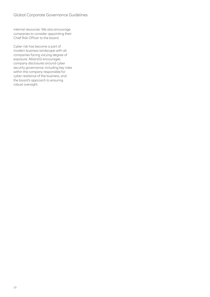internal resources. We also encourage companies to consider appointing their Chief Risk Officer to the board.

Cyber risk has become a part of modern business landscape with all companies facing varying degree of exposure. AllianzGI encourages company disclosures around cyber security governance, including key roles within the company responsible for cyber resilience of the business, and the board's approach to ensuring robust oversight.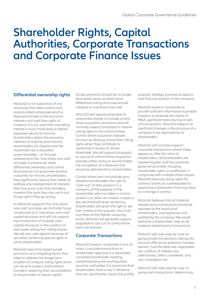### **Shareholder Rights, Capital Authorities, Corporate Transactions and Corporate Finance Issues**

### **Differential ownership rights**

AllianzGI is not supportive of any structures that allow control over publicly listed companies which is disproportionate to the economic interests and cash flow rights of investors. It is our view that controlling interest is much more likely to deliver expected returns to minority shareholders where the economic interests of majority and minority shareholders are aligned and the investment risk is allocated proportionately - i.e. through adherence to the "one share, one vote" principle. Furthermore, while differential ownership and control structures do not guarantee positive outcomes for minority shareholders, they significantly reduce their ability to address any misalignment of interests that may occur over time and deny investors the tools they can use to put things right if they go wrong.

As AllianzGI supports the "one-share, one-vote" principle, we normally favour conversions to a "one-share, one-vote" capital structure, and will not support the introduction of multiple-class capital structures or the creation of new super-voting/non-voting shares. We will also vote against issuance of securities conferring special rights to some shareholders.

AllianzGI sees time-based sunset provisions as a mitigating factor that helps to address the longer-term problem of unequal voting rights which can serve to protect and entrench founders, lessening their accountability to the providers of equity capital.

Sunset provisions should be no longer than seven years, at which point differential voting structures should collapse to one-share one-vote.

AllianzGI will oppose proposals to amend the charter to include control share acquisition provisions and will normally support proposals to restore voting rights to the control shares. Control share acquisition statutes function by denying shares their voting rights when they contribute to ownership in excess of certain thresholds. We will support proposals to opt out of control share acquisition statutes unless doing so would enable the completion of a takeover that would be detrimental to shareholders.

Control share cash-out statutes give dissident shareholders the right to "cash-out" of their position in a company at the expense of the shareholder who has taken a control position (i.e. when an investor crosses a pre-set threshold level, remaining shareholders are given the right to sell their shares to the acquirer, who must buy them at the highest acquiring price). AllianzGI will generally support proposals to opt out of control share cash-out statutes.

### **Corporate Transactions**

AllianzGI expects companies to put all major corporate transactions to shareholder approval in a separately convened shareholder meeting notwithstanding the existing share issuance authorities. It is important that shareholders have a say in decisions that can significantly impact the profile, purpose, strategy, business prospects and financial position of the company.

AllianzGI expects companies to provide sufficient information to enable investors to evaluate the merits of M&A, significant restructuring or spin off transactions. AllianzGI expects all significant changes in the structure of a company to be approved by its shareholders.

AllianzGI will normally support corporate transactions where these appear to offer fair value to shareholders, all shareholders are treated equally, and the corporate governance profile, including shareholder rights, is unaffected. In companies with multiple share classes, AllianzGI sees tag-along rights for ordinary shares as a prerequisite for approving a transaction that may lead to a change in control.

AllianzGI believes that all material related-party transactions should be reported to the board and shareholders, and explained and justified by the company. We would welcome a shareholder vote on all material related-party transactions.

AllianzGI will vote case-by-case on going private transactions, taking into account offer price/ premium, fairness opinion, how the deal was negotiated, any conflicts of interest, any alternatives/ offers considered, and non-completion risk.

AllianzGI will vote case-by-case on going dark transactions, determining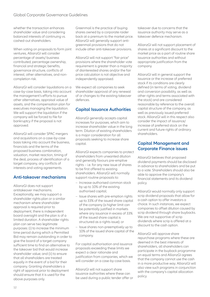whether the transaction enhances shareholder value and considering balanced interests of continuing vs. cashed-out shareholders.

When voting on proposals to form joint ventures, AllianzGI will consider percentage of assets/ business contributed, percentage ownership, financial and strategic benefits, governance structure, conflicts of interest, other alternatives, and noncompletion risk.

AllianzGI will consider liquidations on a case-by-case basis, taking into account the management's efforts to pursue other alternatives, appraisal value of assets, and the compensation plan for executives managing the liquidation. We will support the liquidation if the company will be forced to file for bankruptcy if the proposal is not approved.

AllianzGI will consider SPAC mergers and acquisitions on a case-by-case basis taking into account the business, financials and the terms of the proposed business combination, valuation, market reaction, timing of the deal, process of identification of a target company, any conflicts of interests and voting agreements.

### **Anti-takeover mechanisms**

AllianzGI does not support antitakeover mechanisms. Exceptionally, we may support a shareholder rights plan or a similar mechanism where shareholder approval is required prior to deployment, there is independent board oversight and the plan is of a limited duration. A shareholder rights plan can serve two legitimate purposes: (i) to increase the minimum time period during which a Permitted Bid may remain outstanding in order to give the board of a target company sufficient time to find an alternative to the takeover bid that would increase shareholder value; and (ii) to ensure that all shareholders are treated equally in the event of a bid for their company. Granting shareholders a right of approval prior to deployment should ensure that it is used for the above purposes only.

Greenmail is the practice of buying shares owned by a corporate raider back at a premium to the market price. AllianzGI will generally support antigreenmail provisions that do not include other anti-takeover provisions.

AllianzGI will not support "fair price" provisions where the shareholder vote requirement is greater than a majority of disinterested shares and/or the fair price calculation is not objective and independently appraised.

We expect all companies to seek shareholder approval of any renewal of or changes to the existing takeover defences.

### **Capital Issuance Authorities**

AllianzGI generally accepts capital increases for purposes, which aim to increase shareholder value in the long term. Dilution of existing shareholders is a major consideration for all proposals seeking to increase share capital.

AllianzGI expects companies to protect shareholders from unwanted dilution and generally favours pre-emptive rights – i.e. for any new issue of shares to be first offered to existing shareholders. AllianzGI will normally support routine proposals to:

- Increase authorised common stock by up to 10% of the existing authorised capital;
- Issue shares with pre-emption rights up to 33% of the issued share capital of the company (a higher limit can be potentially justified in markets where any issuance in excess of 33% of the issued share capital is structured as a rights issue); or
- Issue shares non-preemptively up to 10% of the issued share capital of the company.

For capital authorisation and issuance proposals exceeding these limits we expect a clear rationale and justification from companies, which we will consider on a case-by-case basis.

AllianzGI will not support share issuance authorities where these can be used during a public tender offer or takeover due to concerns that the issuance authority may serve as a takeover defence mechanism.

AllianzGI will not support placement of shares at a significant discount to the market price as a part of routine share issuance authorities and without appropriate justification from the company.

AllianzGI will in general support the issuance or the increase of preferred stock if its conditions are clearly defined (in terms of voting, dividend and conversion possibility, as well as other rights and terms associated with the stock) and are considered reasonable by reference to the overall capital structure of the company, as well as previously issued preferred stock. AllianzGI will in this respect also consider the impact of issuance/ increase of preferred stock on the current and future rights of ordinary shareholders.

#### **Capital Management and Corporate Finance issues**

AllianzGI believes that proposed dividend payments should be disclosed in advance to shareholders and be put to a vote. Shareholders should also be able to approve the company's financial statements and its dividend policy.

AllianzGI would normally only support scrip dividend proposals that allow for a cash option to offer investors a choice. In such instances, we expect companies to offset dilution caused by scrip dividend through share buybacks. We are not supportive of scrip dividends where scrip is offered at a discount to the cash option.

AllianzGI will approve share repurchase programs where these are deemed in the best interests of shareholders, all shareholders can participate in the buyback programme on equal terms and AllianzGI agrees that the company cannot use the cash in a more productive way. AllianzGI will also view such programs in conjunction with the company's capital allocation policy.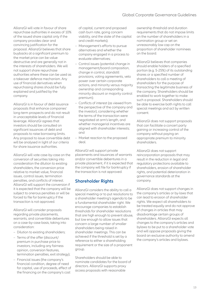AllianzGI will vote in favour of share repurchase authorities in excess of 10% of the issued share capital only if the company provides clear and convincing justification for the proposal. AllianzGI believes that share buybacks at a significant premium to the market price can be value destructive and are generally not in the interests of shareholders. We will not support share repurchase authorities where these can be used as a takeover defence mechanism. Any use of financial derivatives when repurchasing shares should be fully explained and justified by the company.

AllianzGI is in favour of debt issuance proposals that enhance companies' long-term prospects and do not result in unacceptable levels of financial leverage. AllianzGI agrees that investors should be consulted on significant issuances of debt and proposals to raise borrowing limits. Any proposal to issue convertible debt will be analysed in light of our criteria for share issuance authorities.

AllianzGI will vote case-by-case on the conversion of securities taking into consideration the dilution to existing shareholders, the conversion price relative to market value, financial issues, control issues, termination penalties, and conflicts of interest. AllianzGI will support the conversion if it is expected that the company will be subject to onerous penalties or will be forced to file for bankruptcy if the transaction is not approved.

AllianzGI will consider proposals regarding private placements, warrants, and convertible debentures on a case-by-case basis, taking into consideration:

- Dilution to existing shareholders;
- Terms of the offer (discount/ premium in purchase price to investors, including any fairness opinion, conversion features, termination penalties, exit strategy);
- Financial issues (the company's financial condition, degree of need for capital, use of proceeds, effect of the financing on the company's cost

of capital, current and proposed cash burn rate, going concern viability, and the state of the capital and credit markets);

- Management's efforts to pursue alternatives and whether the company engaged in a process to evaluate alternatives;
- Control issues (potential change in management/board composition, change in control, standstill provisions, voting agreements, veto power over certain corporate actions, and minority versus majority ownership and corresponding minority discount or majority control premium);
- Conflicts of interest (as viewed from the perspective of the company and the investor), considering whether the terms of the transaction were negotiated at arm's length, and whether managerial incentives are aligned with shareholder interests; and
- Market reaction to the proposed deal.

AllianzGI will support private placements and issuances of warrants and/or convertible debentures in a private placement, if it is expected that the company will file for bankruptcy if the transaction is not approved.

### **Shareholder Rights**

AllianzGI considers the ability to call a special meeting or to put resolutions to a shareholder meeting's agenda to be a fundamental shareholder right. We encourage companies to establish thresholds for shareholder resolutions that are high enough to prevent abuse, but low enough to allow issues that concern a large number of smaller shareholders being raised in shareholder meetings. This can be achieved if the threshold is set by a reference to either a shareholding requirement or the size of a proponent group.

Shareholders should be able to nominate candidates for the board of directors. AllianzGI supports proxy access proposals with reasonable

ownership threshold and duration requirements that do not impose limits on the number of shareholders in a nomination group or set an unreasonably low cap on the proportion of shareholder nominees on the board.

AllianzGI believes that companies should enable holders of a specified portion (e.g. 5-25%) of its outstanding shares or a specified number of shareholders to call a meeting of shareholders for the purpose of transacting the legitimate business of the company. Shareholders should be enabled to work together to make such a proposal. Shareholders should be able to exercise both rights to call special meetings and act by written consent.

AllianzGI does not support proposals that can facilitate a concert party gaining or increasing control of the company without paying an appropriate premium to minority shareholders.

AllianzGI does not support reincorporation proposals that may result in the reduction in legal and regulatory protections available to shareholders, erosion of shareholder rights, and potential deterioration in governance standards at the company.

AllianzGI does not support changes in the company's articles or by-laws that can lead to erosion of shareholder rights. We expect all shareholders to be treated equally and do not approve of changes in articles that may disadvantage certain groups of shareholders. AllianzGI expects all changes to the company's articles and bylaws to be put to a shareholder vote and will oppose proposals giving the board an exclusive authority to amend the company's articles and bylaws.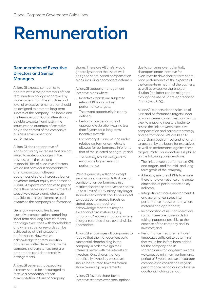# **Remuneration**

### **Remuneration of Executive Directors and Senior Managers**

AllianzGI expects companies to operate within the parameters of their remuneration policy as approved by shareholders. Both the structure and level of executive remuneration should be designed to promote long-term success of the company. The board and the Remuneration Committee should be able to explain and justify the structure and quantum of executive pay in the context of the company's business environment and performance.

AllianzGI does not approve of significant salary increases that are not linked to material changes in the business or in the role and responsibilities of executive directors. We do not consider it appropriate to offer contractual multi-year guarantees of salary increases, bonus payments and/or equity compensation. AllianzGI expects companies to pay no more than necessary on recruitment of executive directors and, whenever possible, to link recruitment-related awards to the company's performance.

Generally, we would like to see executive compensation comprising short-term and long-term elements that align executives with shareholders and where superior rewards can be achieved by attaining superior performance. However, we acknowledge that remuneration policies will differ depending on the company's circumstances and are prepared to consider alternative arrangements.

AllianzGI believes that executive directors should be encouraged to receive a proportion of their compensation in form of company shares. Therefore AllianzGI would generally support the use of welldesigned share-based compensation plans, including appropriate deferrals.

AllianzGI supports management incentive plans where:

- Incentive awards are subject to relevant KPIs and robust performance targets;
- The award opportunity is clearly defined;
- Performance periods are of appropriate duration (e.g. no less than 3 years for a long-term incentive award);
- For primary KPIs, no vesting under relative performance metrics is allowed for performance inferior to that of the selected peer group; and
- The vesting scale is designed to encourage higher levels of performance.

We are generally willing to accept small-scale share awards that are not conditional on performance (e.g. restricted shares or time-vested shares) up to a limit of 100% salary. Any larger share-based awards should be subject to robust performance targets as stated above, although we acknowledge that there may be exceptional circumstances (e.g. turnaround/recovery situations) where a larger restricted share award will be appropriate.

AllianzGI encourages all companies to require that the management build substantial shareholding in the company in order to align their interests better with the interests of investors. Only shares that are beneficially owned by executives should be counted towards formal share ownership requirements.

AllianzGI favours share-based incentive schemes over stock options due to concerns over potentially disproportionate incentive for executives to drive shorter-term share price performance at the expense of the longer-term health of the business, as well as excessive shareholder dilution (the latter can be mitigated through the use of Share Appreciation Rights (i.e. SARs)).

AllianzGI expects clear disclosure of KPIs and performance targets under all management incentive plans, with a view to enabling investors better to assess the link between executive compensation and corporate strategy and performance. We are keen to understand both annual and long-term targets set by the board for executives, as well as performance against these targets. Particular importance is placed on the following considerations:

- The link between performance KPIs and targets, and the mid- and longterm goals of the company;
- A healthy mixture of KPIs to ensure there is no over-reliance on a single dimension of performance or key indicator;
- Integration of social, environmental and governance issues into performance measurement, where material and appropriate;
- Incorporation of risk considerations so that there are no rewards for taking inappropriate risks at the expense of the company and its investors; and
- Performance measurement over timescales sufficient to determine that value has in fact been added for the company and its shareholders (for long-term awards we expect a minimum performance period of 3 years, but we encourage companies to consider a five year performance period or introduce an additional holding period).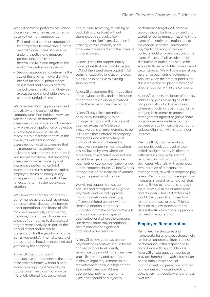When it comes to performance-based share incentive schemes, we currently observe two main approaches:

- First and most common approach is for companies to make annual share awards to executives at a level set under the policy, and measure performance against predetermined KPIs and targets at the end of the performance period;
- Second approach is to determine the size of the long-term award on the basis of an annual performance assessment and apply a deferral period to ensure alignment between executives and shareholders over an extended period of time.

We have seen both approaches used effectively to the benefit of the company and shareholders. However, where the initial performance assessment covers a period of one year only, we expect application of objective and transparent performance measures to determine the size of the award, as well as a secondary assessment on vesting to ensure that the management's strategy has delivered sustainable value creation it was meant to achieve. This secondary assessment can be made against share-price performance, total shareholder returns, return on capital employed, return on equity or any other performance metrics that best reflect long-term sustainable value creation.

We understand that for short-term performance awards, such as annual bonus schemes, disclosure of targets under operational and financial KPIs may be commercially sensitive and, therefore, undesirable. However, we expect all companies to disclose such targets retrospectively, as part of the annual report and/or results presentation for the year for which the bonus was paid. Any non-disclosure of bonus targets should be explained and justified by the company.

AllianzGI does not support retrospective amendments to the terms of incentive schemes without a prior shareholder approval. We will vote against incentive plans that may be materially altered (e.g. cancellation

and re-issue, re-testing, re-pricing or backdating of options) without shareholder approval, allow management significant discretion in granting certain awards, or are otherwise inconsistent with the interests of shareholders.

AllianzGI may not support equity award plans that are too dilutive (e.g. >10% of the issued share capital in 10 years for executive and all-employee plans) and expensive to existing shareholders.

AllianzGI encourages the introduction of a clawback policy and the inclusion of appropriate clawback provisions under the terms of incentive plans.

AllianzGI pays close attention to perquisites, including pension arrangements, and will vote against if deemed excessive. We expect executive pension arrangements to be in line with those offered to company employees, and will only support additional pension schemes for executive directors (in markets where this is allowed by law) where, on retirement, an executive does not also benefit from generous severance payments and/or compensation under a "non-compete clause". AllianzGI does not approve of the inclusion of variable pay in the pension calculation.

We will not support transaction bonuses and retrospective ex-gratia payments, and will not approve financial assistance to directors, officers or related persons without clear explanation and robust justification from the company. We will only approve a one-off special payment/award where the company can demonstrate truly exceptional circumstances and significant additional value creation.

AllianzGI believes that severance payments to executives should be set at a reasonable level. Ideally, severance pay should not exceed one year's fixed salary and benefits or minimum legal requirements in the markets where these are higher than 12 months' fixed pay. Where appropriate, payments to former executives should be subject to

performance targets. All incentive awards should be time pro-rated and tested for performance, including in the event of an early termination due to the change in control. Termination payments following a change in control should only be available in the event of a loss of job or substantial diminution of duties, and should be similar to those available under normal circumstances. We will vote against any severance payments or retirement bonuses when the amount paid is not disclosed or the recipient is moving to another position within the company.

AllianzGI expects disclosure of a policy addressing possible hedging of the company's stock by its executives, where such activity is permitted. Using hedging instruments to protect management against negative share price movements undermines the purpose of equity incentive plans and reduces alignment with shareholder interests.

We note that, in some markets, companies seek approval of a so called "budget" to pay its directors, without disclosing details of the remuneration policy or approach. In such cases, AllianzGI will review past remuneration of directors and management, as well as proposed pay levels. We may not approve significant increases in board remuneration that are not linked to material changes in the business, or in the number, roles and responsibilities of directors. We would like to see all remuneration related proposals to be sufficiently detailed to allow shareholders to assess the structure of and approach to director remuneration.

#### **Employee Remuneration**

Remuneration structures and frameworks for employees should help reinforce corporate culture and foster performance. In this respect and in accordance with applicable laws AllianzGI encourages companies to provide shareholders with information on the ratio between senior management compensation and that of the wider workforce, including calculation methodology and changes over time.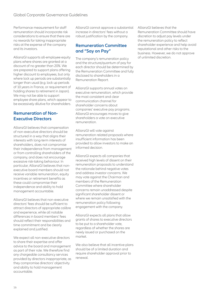Performance measurement for staff remuneration should incorporate risk considerations to ensure that there are no rewards for taking inappropriate risks at the expense of the company and its investors.

AllianzGI supports all-employee equity plans where shares are granted at a discount of no greater than 20%. We are prepared to support plans offering higher discount to employees, but only where lock up periods are substantially longer than usual (e.g. lock up periods of 10 years in France, or requirement of holding shares to retirement in Japan). We may not be able to support employee share plans, which appear to be excessively dilutive for shareholders.

#### **Remuneration of Non-Executive Directors**

AllianzGI believes that compensation of non-executive directors should be structured in a way that aligns their interests with long-term interests of shareholders, does not compromise their independence from management or from controlling shareholders of the company, and does not encourage excessive risk-taking behaviour. In particular, AllianzGI believes that nonexecutive board members should not receive variable remuneration, equity incentives or retirement benefits as these could compromise their independence and ability to hold management accountable.

AllianzGI believes that non-executive directors' fees should be sufficient to attract directors of appropriate calibre and experience, while all notable differences in board members' fees should reflect their responsibilities and time commitment and be clearly explained and justified.

We expect all non-executive directors to share their expertise and offer advice to the board and management as part of their role. We therefore find any chargeable consultancy services provided by directors inappropriate, as they compromise directors' objectivity and ability to hold management accountable.

AllianzGI cannot approve a substantial increase in directors' fees without a robust justification by the company.

#### **Remuneration Committee and "Say on Pay"**

The company's remuneration policy and the structure/quantum of pay for each director should be determined by the Remuneration Committee and fully disclosed to shareholders in a Remuneration Report.

AllianzGI supports annual votes on executive remuneration, which provide the most consistent and clear communication channel for shareholder concerns about companies' executive pay programs. AllianzGI encourages moves to give shareholders a vote on executive remuneration.

AllianzGI will vote against remuneration related proposals where insufficient information has been provided to allow investors to make an informed decision.

AllianzGI expects all companies that received high levels of dissent on their remuneration proposals to understand the rationale behind negative votes and address investor concerns. We may vote against the Chairman and members of the Remuneration Committee where shareholder concerns remain unaddressed despite significant shareholder dissent or where we remain unsatisfied with the remuneration policy following engagement with the company.

AllianzGI expects all plans that allow grants of shares to executive directors to be put to a shareholder vote, regardless of whether the shares are newly issued or purchased on the market.

We also believe that all incentive plans should be of a limited duration and require shareholder approval prior to renewal.

AllianzGI believes that the Remuneration Committee should have discretion to adjust pay levels under the remuneration policy to reflect shareholder experience and help avoid reputational and other risks to the business. However, we do not approve of unlimited discretion.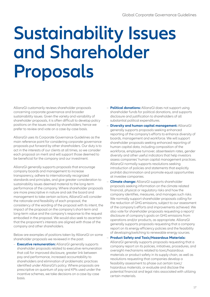# **Sustainability Issues and Shareholder Proposals**

AllianzGI customarily reviews shareholder proposals concerning corporate governance and broader sustainability issues. Given the variety and variability of shareholder proposals, it is often difficult to develop policy positions on the issues raised by shareholders; hence we prefer to review and vote on a case-by-case basis.

AllianzGI uses its Corporate Governance Guidelines as the main reference point for considering corporate governance proposals put forward by other shareholders. Our duty is to act in the interests of our clients at all times, so we consider each proposal on merit and will support those deemed to be beneficial for the company and our investment.

AllianzGI generally supports proposals that encourage company boards and management to increase transparency, adhere to internationally recognized standards and principles, and give greater consideration to sustainability issues deemed material to the long-term performance of the company. Where shareholder proposals are more prescriptive in nature and ask the board and management to take certain actions, AllianzGI will consider the rationale and feasibility of each proposal, the consistency of the wording of the proposal with its intent, the impact of the proposal on the company's short-term and long-term value and the company's response to the request embodied in the proposal. We would also seek to ascertain that the proponent's interests are aligned with those of the company and other shareholders.

Below are examples of positions taken by AllianzGI on some shareholder proposals we reviewed in the past:

– **Executive remuneration:** AllianzGI generally supports shareholder proposals related to executive remuneration that call for improved disclosure, greater link between pay and performance, increased accountability to shareholders and elimination of problematic practices identified under AllianzGI's policy. Where proposals are prescriptive on quantum of pay and KPIs used under the incentive schemes, we take decisions on a case-by-case basis.

- **Political donations:** AllianzGI does not support using shareholder funds for political donations, and supports disclosure and justification to shareholders of all substantial political expenditures.
- **Diversity and human capital management:** AllianzGI generally supports proposals seeking enhanced reporting of the company's efforts to enhance diversity of boards, management and workforce. We will support shareholder proposals seeking enhanced reporting of human capital data, including composition of the workforce, employee turnover, absenteeism rates, gender diversity and other useful indicators that help investors assess companies' human capital management practices. AllianzGI normally supports resolutions seeking introduction of policies and statements that explicitly prohibit discrimination and promote equal opportunities at investee companies.
- **Climate change:** AllianzGI supports shareholder proposals seeking information on the climate related financial, physical or regulatory risks and how the company identifies, measures, and manages such risks. We normally support shareholder proposals calling for the reduction of GHG emissions, subject to our assessment of the company's efforts and improvements achieved. We also vote for shareholder proposals requesting a report/ disclosure of company's goals on GHG emissions from operations and/or products, as appropriate. AllianzGI generally supports proposals requesting that a company report on its energy efficiency policies and the feasibility of developing/switching to renewable energy sources.

#### – **Product Safety and Toxic/Hazardous Materials:**

AllianzGI generally supports proposals requesting that a company report on its policies, initiatives, procedures, and oversight mechanisms related to toxic/hazardous materials or product safety in its supply chain, as well as resolutions requesting that companies develop a feasibility assessment to phase out certain toxic/ hazardous materials, or evaluate and disclose the potential financial and legal risks associated with utilizing certain materials.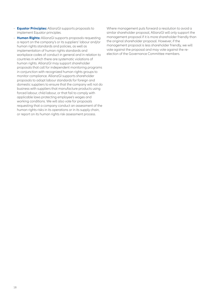- **Equator Principles:** AllianzGI supports proposals to implement Equator principles.
- **Human Rights:** AllianzGI supports proposals requesting a report on the company's or its suppliers' labour and/or human rights standards and policies, as well as implementation of human rights standards and workplace codes of conduct in general and in relation to countries in which there are systematic violations of human rights. AllianzGI may support shareholder proposals that call for independent monitoring programs in conjunction with recognized human rights groups to monitor compliance. AllianzGI supports shareholder proposals to adopt labour standards for foreign and domestic suppliers to ensure that the company will not do business with suppliers that manufacture products using forced labour, child labour, or that fail to comply with applicable laws protecting employee's wages and working conditions. We will also vote for proposals requesting that a company conduct an assessment of the human rights risks in its operations or in its supply chain, or report on its human rights risk assessment process.

Where management puts forward a resolution to avoid a similar shareholder proposal, AllianzGI will only support the management proposal if it is more shareholder friendly than the original shareholder proposal. However, if the management proposal is less shareholder friendly, we will vote against the proposal and may vote against the reelection of the Governance Committee members.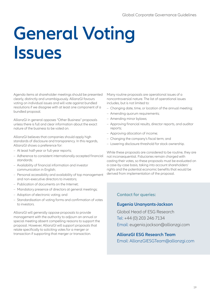# **General Voting Issues**

Agenda items at shareholder meetings should be presented clearly, distinctly and unambiguously. AllianzGI favours voting on individual issues and will vote against bundled resolutions if we disagree with at least one component of a bundled proposal.

AllianzGI in general opposes "Other Business" proposals unless there is full and clear information about the exact nature of the business to be voted on.

AllianzGI believes that companies should apply high standards of disclosure and transparency. In this regards, AllianzGI shows a preference for:

- At least half-year or full-year reports;
- Adherence to consistent internationally accepted financial standards;
- Availability of financial information and investor communication in English;
- Personal accessibility and availability of top management and non-executive directors to investors;
- Publication of documents on the Internet;
- Mandatory presence of directors at general meetings;
- Adoption of electronic voting; and
- Standardisation of voting forms and confirmation of votes to investors.

AllianzGI will generally oppose proposals to provide management with the authority to adjourn an annual or special meeting absent compelling reasons to support the proposal. However, AllianzGI will support proposals that relate specifically to soliciting votes for a merger or transaction if supporting that merger or transaction.

Many routine proposals are operational issues of a noncontroversial nature. The list of operational issues includes, but is not limited to:

- Changing date, time, or location of the annual meeting;
- Amending quorum requirements;
- Amending minor bylaws;
- Approving financial results, director reports, and auditor reports;
- Approving allocation of income;
- Changing the company's fiscal term; and
- Lowering disclosure threshold for stock ownership.

While these proposals are considered to be routine, they are not inconsequential. Fiduciaries remain charged with casting their votes, so these proposals must be evaluated on a case-by-case basis, taking into account shareholders' rights and the potential economic benefits that would be derived from implementation of the proposal.

#### **Contact for queries:**

#### **Eugenia Unanyants-Jackson**

Global Head of ESG Research Tel: +44 (0) 203 246 7134 Email: eugenia.jackson@allianzgi.com

#### **AllianzGI ESG Research Team**

Email: AllianzGIESGTeam@allianzgi.com